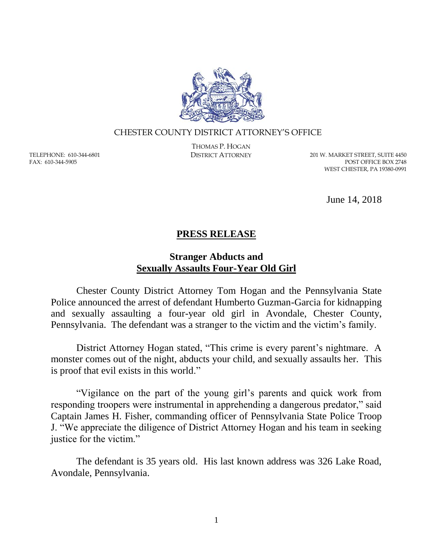

## CHESTER COUNTY DISTRICT ATTORNEY'S OFFICE

TELEPHONE: 610-344-6801 FAX: 610-344-5905

THOMAS P. HOGAN

DISTRICT ATTORNEY 201 W. MARKET STREET, SUITE 4450 POST OFFICE BOX 2748 WEST CHESTER, PA 19380-0991

June 14, 2018

## **PRESS RELEASE**

## **Stranger Abducts and Sexually Assaults Four-Year Old Girl**

Chester County District Attorney Tom Hogan and the Pennsylvania State Police announced the arrest of defendant Humberto Guzman-Garcia for kidnapping and sexually assaulting a four-year old girl in Avondale, Chester County, Pennsylvania. The defendant was a stranger to the victim and the victim's family.

District Attorney Hogan stated, "This crime is every parent's nightmare. A monster comes out of the night, abducts your child, and sexually assaults her. This is proof that evil exists in this world."

"Vigilance on the part of the young girl's parents and quick work from responding troopers were instrumental in apprehending a dangerous predator," said Captain James H. Fisher, commanding officer of Pennsylvania State Police Troop J. "We appreciate the diligence of District Attorney Hogan and his team in seeking justice for the victim."

The defendant is 35 years old. His last known address was 326 Lake Road, Avondale, Pennsylvania.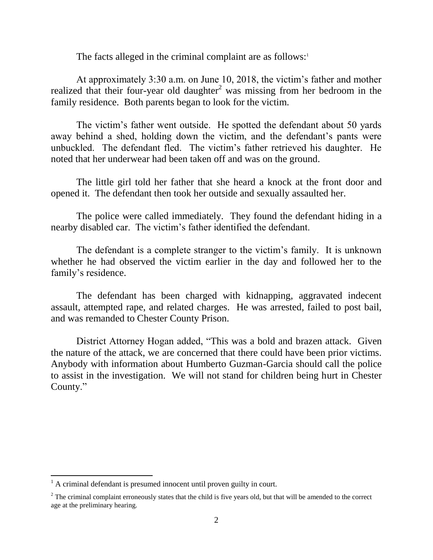The facts alleged in the criminal complaint are as follows: $\frac{1}{1}$ 

At approximately 3:30 a.m. on June 10, 2018, the victim's father and mother realized that their four-year old daughter<sup>2</sup> was missing from her bedroom in the family residence. Both parents began to look for the victim.

The victim's father went outside. He spotted the defendant about 50 yards away behind a shed, holding down the victim, and the defendant's pants were unbuckled. The defendant fled. The victim's father retrieved his daughter. He noted that her underwear had been taken off and was on the ground.

The little girl told her father that she heard a knock at the front door and opened it. The defendant then took her outside and sexually assaulted her.

The police were called immediately. They found the defendant hiding in a nearby disabled car. The victim's father identified the defendant.

The defendant is a complete stranger to the victim's family. It is unknown whether he had observed the victim earlier in the day and followed her to the family's residence.

The defendant has been charged with kidnapping, aggravated indecent assault, attempted rape, and related charges. He was arrested, failed to post bail, and was remanded to Chester County Prison.

District Attorney Hogan added, "This was a bold and brazen attack. Given the nature of the attack, we are concerned that there could have been prior victims. Anybody with information about Humberto Guzman-Garcia should call the police to assist in the investigation. We will not stand for children being hurt in Chester County."

 $\overline{a}$ 

 $<sup>1</sup>$  A criminal defendant is presumed innocent until proven guilty in court.</sup>

 $2$  The criminal complaint erroneously states that the child is five years old, but that will be amended to the correct age at the preliminary hearing.